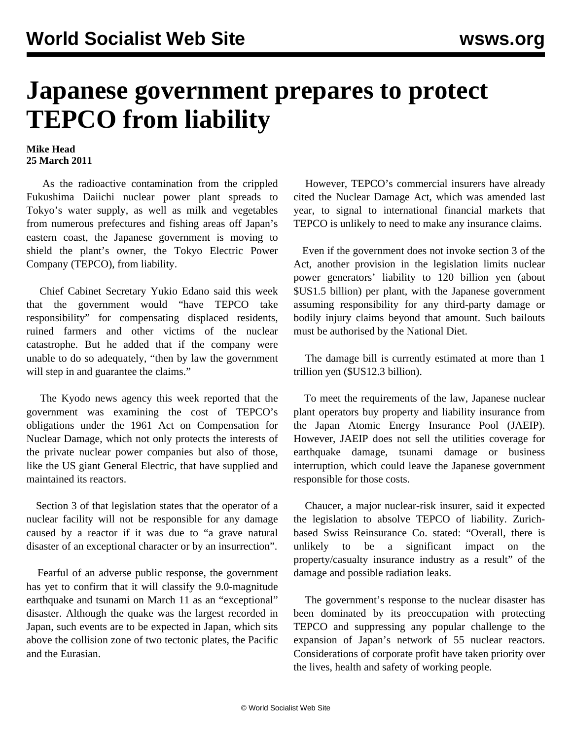## **Japanese government prepares to protect TEPCO from liability**

## **Mike Head 25 March 2011**

 As the radioactive contamination from the crippled Fukushima Daiichi nuclear power plant spreads to Tokyo's water supply, as well as milk and vegetables from numerous prefectures and fishing areas off Japan's eastern coast, the Japanese government is moving to shield the plant's owner, the Tokyo Electric Power Company (TEPCO), from liability.

 Chief Cabinet Secretary Yukio Edano said this week that the government would "have TEPCO take responsibility" for compensating displaced residents, ruined farmers and other victims of the nuclear catastrophe. But he added that if the company were unable to do so adequately, "then by law the government will step in and guarantee the claims."

 The Kyodo news agency this week reported that the government was examining the cost of TEPCO's obligations under the 1961 Act on Compensation for Nuclear Damage, which not only protects the interests of the private nuclear power companies but also of those, like the US giant General Electric, that have supplied and maintained its reactors.

 Section 3 of that legislation states that the operator of a nuclear facility will not be responsible for any damage caused by a reactor if it was due to "a grave natural disaster of an exceptional character or by an insurrection".

 Fearful of an adverse public response, the government has yet to confirm that it will classify the 9.0-magnitude earthquake and tsunami on March 11 as an "exceptional" disaster. Although the quake was the largest recorded in Japan, such events are to be expected in Japan, which sits above the collision zone of two tectonic plates, the Pacific and the Eurasian.

 However, TEPCO's commercial insurers have already cited the Nuclear Damage Act, which was amended last year, to signal to international financial markets that TEPCO is unlikely to need to make any insurance claims.

 Even if the government does not invoke section 3 of the Act, another provision in the legislation limits nuclear power generators' liability to 120 billion yen (about \$US1.5 billion) per plant, with the Japanese government assuming responsibility for any third-party damage or bodily injury claims beyond that amount. Such bailouts must be authorised by the National Diet.

 The damage bill is currently estimated at more than 1 trillion yen (\$US12.3 billion).

 To meet the requirements of the law, Japanese nuclear plant operators buy property and liability insurance from the Japan Atomic Energy Insurance Pool (JAEIP). However, JAEIP does not sell the utilities coverage for earthquake damage, tsunami damage or business interruption, which could leave the Japanese government responsible for those costs.

 Chaucer, a major nuclear-risk insurer, said it expected the legislation to absolve TEPCO of liability. Zurichbased Swiss Reinsurance Co. stated: "Overall, there is unlikely to be a significant impact on the property/casualty insurance industry as a result" of the damage and possible radiation leaks.

 The government's response to the nuclear disaster has been dominated by its preoccupation with protecting TEPCO and suppressing any popular challenge to the expansion of Japan's network of 55 nuclear reactors. Considerations of corporate profit have taken priority over the lives, health and safety of working people.